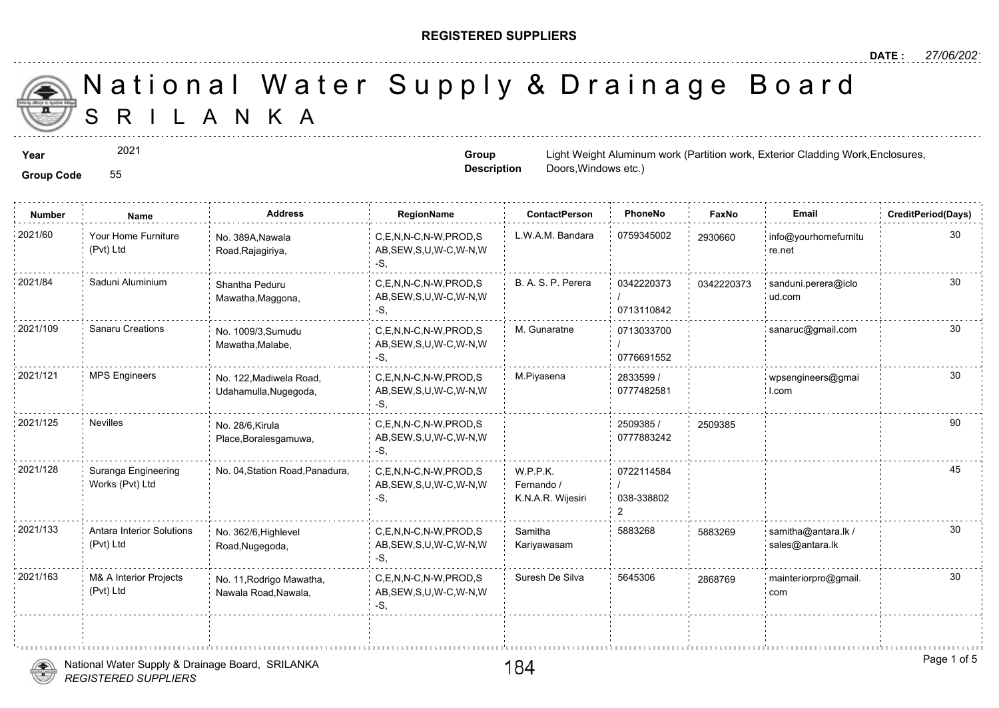#### **REGISTERED SUPPLIERS**

**Group Description**

Doors,Windows etc.)

A N K A National Water Supply & Drainage

**Year** 2021 **External Work, External Aluminum work (Partition work, Exterior Work, Exterior Cladding Work, Enclosures, Enclosures, Enclosures, Enclosures, Enclosures, Enclosures, Enclosures, Enclosures, Enclosures, Enclosu** 

2021

**Group Code** 55

**Number Name Address RegionName ContactPerson PhoneNo FaxNo Email CreditPeriod(Days)** 2021/60 Your Home Furniture No. 389A,Nawala C,E,N,N-C,N-W,PROD,S L.W.A.M. Bandara 0759345002 293066 AB,SEW,S,U,W-C,W-N,W -S, No. 389A,Nawala Road,Rajagiriya, Your Home Furniture (Pvt) Ltd 29306 0342220373 / 0713110842 2021/84 Saduni Aluminium Shantha Peduru C,E,N,N-C,N-W,PROD,S B. A. S. P. Perera 342220373 034222 AB,SEW,S,U,W-C,W-N,W -S, Shantha Peduru Mawatha,Maggona, 034222 0713033700 / 0776691552 C,E,N,N-C,N-W,PROD,S M. Gunaratne 2021/109 Sanaru Creations sanaruc@gmail.com AB,SEW,S,U,W-C,W-N,W -S, No. 1009/3,Sumudu Mawatha,Malabe, 2833599 / 30 0777482581 2021/121 MPS Engineers No. 122.Madiwela Road, C,E,N,N-C,N-W,PROD,S M.Piyasena 2833599 / 2021/121 AB,SEW,S,U,W-C,W-N,W -S, No. 122,Madiwela Road, Udahamulla,Nugegoda, 2509385 / 250938 0777883242 C,E,N,N-C,N-W,PROD,S 2021/125 Nevilles 2509385 AB,SEW,S,U,W-C,W-N,W -S, No. 28/6,Kirula Place,Boralesgamuwa, 0722114584 / 038-338802 2 W.P.P.K. Fernando / K.N.A.R. Wijesiri C,E,N,N-C,N-W,PROD,S AB,SEW,S,U,W-C,W-N,W -S, Suranga Engineering No. 04, Station Road, Panadura, Works (Pvt) Ltd 2021/128 Samitha 5883268 588326 Kariyawasam 2021/133 : Antara Interior Solutions No. 362/6, Highlevel . C,E,N,N-C,N-W,PROD,S Samitha . 5883268 . 588326 AB,SEW,S,U,W-C,W-N,W -S, No. 362/6,Highlevel Road,Nugegoda, Antara Interior Solutions (Pvt) Ltd 588326 C,E,N,N-C,N-W,PROD,S Suresh De Silva 5645306 AB,SEW,S,U,W-C,W-N,W -S, 2021/163 M& A Interior Projects No. 11,Rodrigo Mawatha, C,E,N,N-C,N-W,PROD,S Suresh De Silva 5645306 286876 Nawala Road,Nawala, M& A Interior Projects (Pvt) Ltd 286876

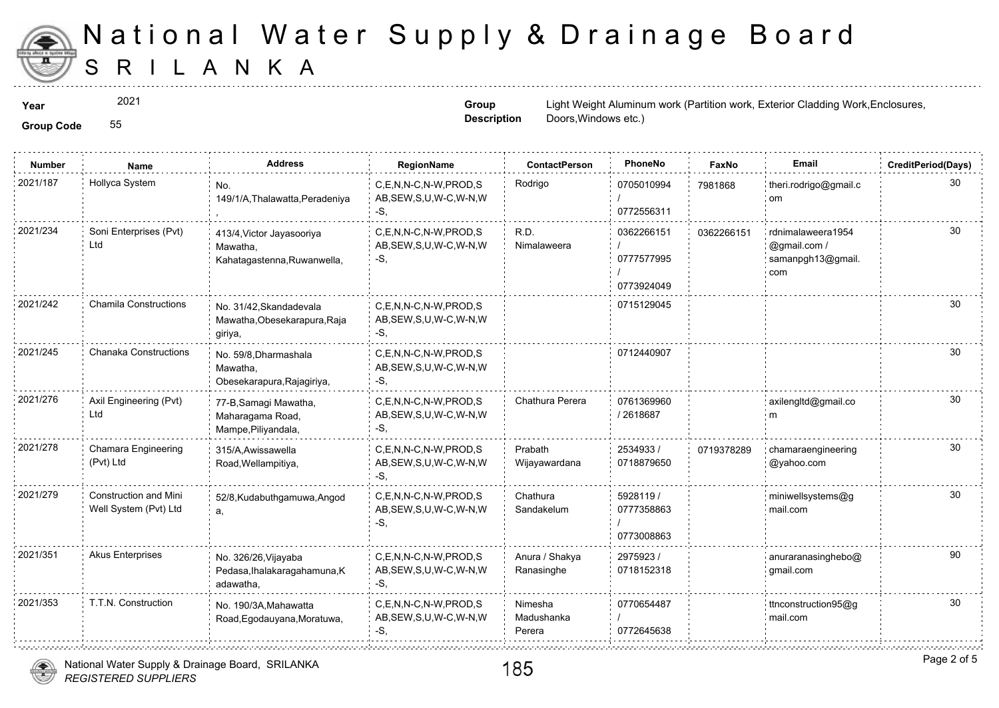

2021

**Group Description**

**Year**  $2021$  and  $2021$  and  $2021$  and  $2021$  and  $2021$  and  $2021$  and  $2021$  and  $2021$  and  $2021$  and  $2021$  and  $2021$  and  $2021$  and  $2021$  and  $2021$  and  $2021$  and  $2021$  and  $2021$  and  $2021$  and  $2021$  and  $2021$ Doors,Windows etc.)

**Group Code** 55

| <b>Number</b> | <b>Name</b>                                           | <b>Address</b>                                                       | RegionName                                                   | <b>ContactPerson</b>            | PhoneNo                                | Faxl   |
|---------------|-------------------------------------------------------|----------------------------------------------------------------------|--------------------------------------------------------------|---------------------------------|----------------------------------------|--------|
| 2021/187      | Hollyca System                                        | No.<br>149/1/A, Thalawatta, Peradeniya                               | C,E,N,N-C,N-W,PROD,S<br>AB, SEW, S, U, W-C, W-N, W<br>$-S$ . | Rodrigo                         | 0705010994<br>0772556311               | 798186 |
| 2021/234      | Soni Enterprises (Pvt)<br>Ltd                         | 413/4, Victor Jayasooriya<br>Mawatha,<br>Kahatagastenna, Ruwanwella, | C.E.N.N-C.N-W.PROD.S<br>AB, SEW, S, U, W-C, W-N, W<br>$-S$ . | R.D.<br>Nimalaweera             | 0362266151<br>0777577995<br>0773924049 | 036226 |
| 2021/242      | <b>Chamila Constructions</b>                          | No. 31/42. Skandadevala<br>Mawatha, Obesekarapura, Raja<br>giriya,   | C,E,N,N-C,N-W,PROD,S<br>AB, SEW, S, U, W-C, W-N, W<br>-S.    |                                 | 0715129045                             |        |
| 2021/245      | Chanaka Constructions                                 | No. 59/8, Dharmashala<br>Mawatha,<br>Obesekarapura, Rajagiriya,      | C.E.N.N-C.N-W.PROD.S<br>AB, SEW, S, U, W-C, W-N, W<br>-S,    |                                 | 0712440907                             |        |
| 2021/276      | Axil Engineering (Pvt)<br>Ltd                         | 77-B, Samagi Mawatha,<br>Maharagama Road,<br>Mampe, Piliyandala,     | C.E.N.N-C.N-W.PROD.S<br>AB, SEW, S, U, W-C, W-N, W<br>$-S$ . | Chathura Perera                 | 0761369960<br>/2618687                 |        |
| 2021/278      | Chamara Engineering<br>(Pvt) Ltd                      | 315/A, Awissawella<br>Road, Wellampitiya,                            | C.E.N.N-C.N-W.PROD.S<br>AB, SEW, S, U, W-C, W-N, W<br>-S.    | Prabath<br>Wijayawardana        | 2534933/<br>0718879650                 | 071937 |
| 2021/279      | <b>Construction and Mini</b><br>Well System (Pvt) Ltd | 52/8, Kudabuthgamuwa, Angod<br>a,                                    | C,E,N,N-C,N-W,PROD,S<br>AB, SEW, S, U, W-C, W-N, W<br>-S.    | Chathura<br>Sandakelum          | 5928119 /<br>0777358863<br>0773008863  |        |
| 2021/351      | <b>Akus Enterprises</b>                               | No. 326/26, Vijayaba<br>Pedasa, Ihalakaragahamuna, K<br>adawatha,    | C,E,N,N-C,N-W,PROD,S<br>AB, SEW, S, U, W-C, W-N, W<br>-S,    | Anura / Shakya<br>Ranasinghe    | 2975923/<br>0718152318                 |        |
| 2021/353      | T.T.N. Construction                                   | No. 190/3A, Mahawatta<br>Road, Egodauyana, Moratuwa,                 | C.E.N.N-C.N-W.PROD.S<br>AB, SEW, S, U, W-C, W-N, W<br>-S,    | Nimesha<br>Madushanka<br>Perera | 0770654487<br>0772645638               |        |
|               |                                                       |                                                                      |                                                              |                                 |                                        |        |

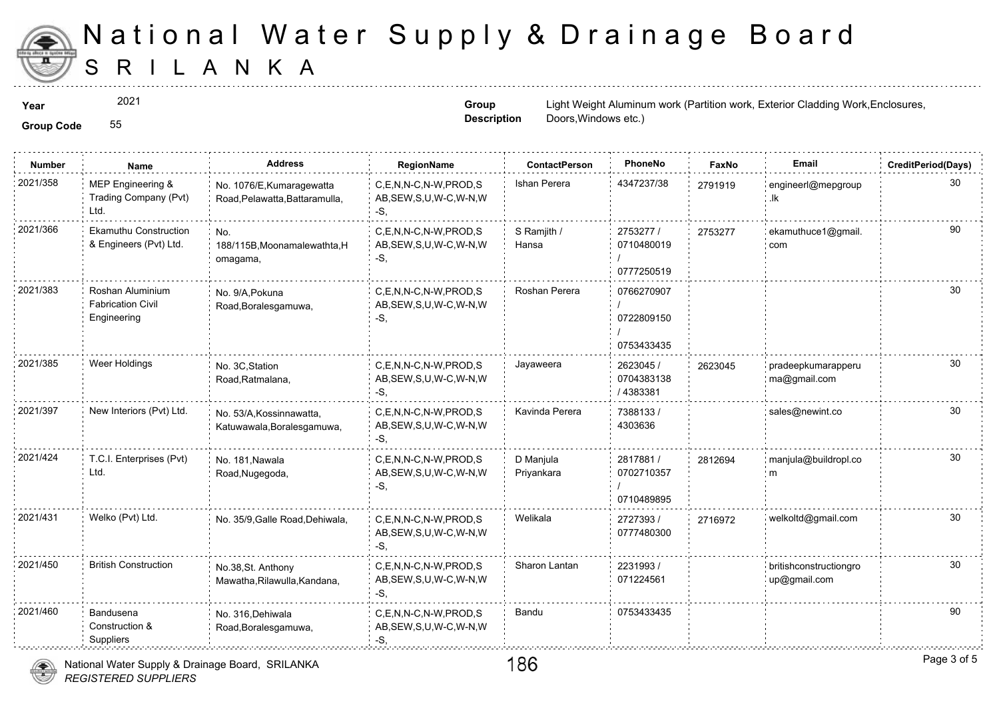

**Group Code** 55 2021

**Group Description**

**Year**  $2021$  and  $2021$  and  $2021$  and  $2021$  and  $2021$  and  $2021$  and  $2021$  and  $2021$  and  $2021$  and  $2021$  and  $2021$  and  $2021$  and  $2021$  and  $2021$  and  $2021$  and  $2021$  and  $2021$  and  $2021$  and  $2021$  and  $2021$ Doors,Windows etc.)

| <b>Group Code</b> |  |
|-------------------|--|

| <b>Number</b> | Name                                                        | <b>Address</b>                                              | RegionName                                                   | <b>ContactPerson</b>    | PhoneNo                                | Faxl   |
|---------------|-------------------------------------------------------------|-------------------------------------------------------------|--------------------------------------------------------------|-------------------------|----------------------------------------|--------|
| 2021/358      | MEP Engineering &<br>Trading Company (Pvt)<br>Ltd.          | No. 1076/E, Kumaragewatta<br>Road, Pelawatta, Battaramulla, | C,E,N,N-C,N-W,PROD,S<br>AB, SEW, S, U, W-C, W-N, W<br>-S,    | Ishan Perera            | 4347237/38                             | 279191 |
| 2021/366      | <b>Ekamuthu Construction</b><br>& Engineers (Pvt) Ltd.      | No.<br>188/115B, Moonamalewathta, H<br>omagama,             | C,E,N,N-C,N-W,PROD,S<br>AB, SEW, S, U, W-C, W-N, W<br>-S,    | S Ramjith /<br>Hansa    | 2753277 /<br>0710480019<br>0777250519  | 275327 |
| 2021/383      | Roshan Aluminium<br><b>Fabrication Civil</b><br>Engineering | No. 9/A, Pokuna<br>Road, Boralesgamuwa,                     | C,E,N,N-C,N-W,PROD,S<br>AB, SEW, S, U, W-C, W-N, W<br>-S,    | Roshan Perera           | 0766270907<br>0722809150<br>0753433435 |        |
| 2021/385      | Weer Holdings                                               | No. 3C, Station<br>Road, Ratmalana,                         | C,E,N,N-C,N-W,PROD,S<br>AB, SEW, S, U, W-C, W-N, W<br>-S,    | Jayaweera               | 2623045 /<br>0704383138<br>/4383381    | 262304 |
| 2021/397      | New Interiors (Pvt) Ltd.                                    | No. 53/A, Kossinnawatta,<br>Katuwawala, Boralesgamuwa,      | C,E,N,N-C,N-W,PROD,S<br>AB, SEW, S, U, W-C, W-N, W<br>-S,    | Kavinda Perera          | 7388133/<br>4303636                    |        |
| 2021/424      | T.C.I. Enterprises (Pvt)<br>Ltd.                            | No. 181, Nawala<br>Road, Nugegoda,                          | C.E.N.N-C.N-W.PROD.S<br>AB, SEW, S, U, W-C, W-N, W<br>$-S,$  | D Manjula<br>Priyankara | 2817881 /<br>0702710357<br>0710489895  | 281269 |
| 2021/431      | Welko (Pvt) Ltd.                                            | No. 35/9, Galle Road, Dehiwala,                             | C,E,N,N-C,N-W,PROD,S<br>AB, SEW, S, U, W-C, W-N, W<br>$-S$ . | Welikala                | 2727393/<br>0777480300                 | 271697 |
| 2021/450      | <b>British Construction</b>                                 | No.38, St. Anthony<br>Mawatha, Rilawulla, Kandana,          | C,E,N,N-C,N-W,PROD,S<br>AB, SEW, S, U, W-C, W-N, W<br>$-S,$  | Sharon Lantan           | 2231993/<br>071224561                  |        |
| 2021/460      | Bandusena<br>Construction &<br>Suppliers                    | No. 316, Dehiwala<br>Road, Boralesgamuwa,                   | C,E,N,N-C,N-W,PROD,S<br>AB, SEW, S, U, W-C, W-N, W<br>$-S,$  | Bandu                   | 0753433435                             |        |

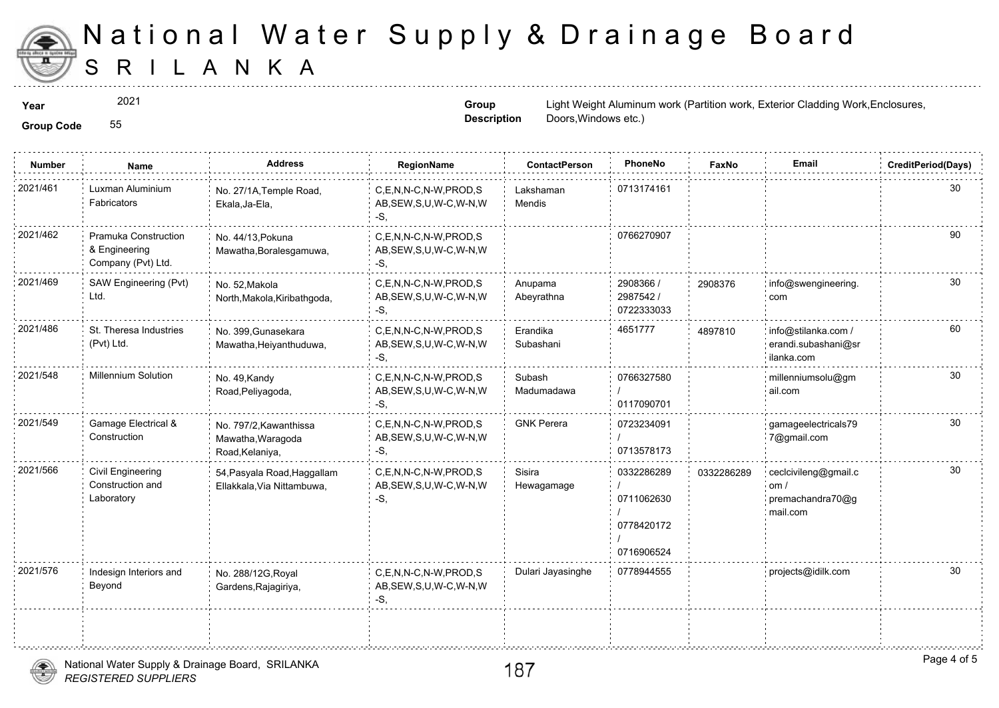

2021

**Group Description**

**Year**  $2021$  and  $2021$  and  $2021$  and  $2021$  and  $2021$  and  $2021$  and  $2021$  and  $2021$  and  $2021$  and  $2021$  and  $2021$  and  $2021$  and  $2021$  and  $2021$  and  $2021$  and  $2021$  and  $2021$  and  $2021$  and  $2021$  and  $2021$ Doors,Windows etc.)

**Group Code** 55

| <b>Number</b> | <b>Name</b>                                                 | <b>Address</b>                                                 | RegionName                                                   | <b>ContactPerson</b>  | PhoneNo                                              | Fax    |
|---------------|-------------------------------------------------------------|----------------------------------------------------------------|--------------------------------------------------------------|-----------------------|------------------------------------------------------|--------|
| 2021/461      | Luxman Aluminium<br><b>Fabricators</b>                      | No. 27/1A, Temple Road,<br>Ekala, Ja-Ela,                      | C.E.N.N-C.N-W.PROD.S<br>AB, SEW, S, U, W-C, W-N, W<br>-S,    | Lakshaman<br>Mendis   | 0713174161                                           |        |
| 2021/462      | Pramuka Construction<br>& Engineering<br>Company (Pvt) Ltd. | No. 44/13, Pokuna<br>Mawatha, Boralesgamuwa,                   | C,E,N,N-C,N-W,PROD,S<br>AB, SEW, S, U, W-C, W-N, W<br>$-S$ , |                       | 0766270907                                           |        |
| 2021/469      | SAW Engineering (Pvt)<br>Ltd.                               | No. 52, Makola<br>North, Makola, Kiribathgoda,                 | C.E.N.N-C.N-W.PROD.S<br>AB, SEW, S, U, W-C, W-N, W<br>$-S$ , | Anupama<br>Abeyrathna | 2908366 /<br>2987542 /<br>0722333033                 | 290837 |
| 2021/486      | St. Theresa Industries<br>(Pvt) Ltd.                        | No. 399, Gunasekara<br>Mawatha, Heiyanthuduwa,                 | C,E,N,N-C,N-W,PROD,S<br>AB, SEW, S, U, W-C, W-N, W<br>$-S$ . | Erandika<br>Subashani | 4651777                                              | 489781 |
| 2021/548      | <b>Millennium Solution</b>                                  | No. 49, Kandy<br>Road, Peliyagoda,                             | C.E.N.N-C.N-W.PROD.S<br>AB, SEW, S, U, W-C, W-N, W<br>$-S$ . | Subash<br>Madumadawa  | 0766327580<br>0117090701                             |        |
| 2021/549      | Gamage Electrical &<br>Construction                         | No. 797/2, Kawanthissa<br>Mawatha, Waragoda<br>Road, Kelaniya, | C,E,N,N-C,N-W,PROD,S<br>AB, SEW, S, U, W-C, W-N, W<br>$-S$ . | <b>GNK Perera</b>     | 0723234091<br>0713578173                             |        |
| 2021/566      | Civil Engineering<br>Construction and<br>Laboratory         | 54, Pasyala Road, Haggallam<br>Ellakkala, Via Nittambuwa,      | C.E.N.N-C.N-W.PROD.S<br>AB, SEW, S, U, W-C, W-N, W<br>-S.    | Sisira<br>Hewagamage  | 0332286289<br>0711062630<br>0778420172<br>0716906524 | 033228 |
| 2021/576      | Indesign Interiors and<br>Beyond                            | No. 288/12G, Royal<br>Gardens, Rajagiriya,                     | C,E,N,N-C,N-W,PROD,S<br>AB, SEW, S, U, W-C, W-N, W<br>$-S$ , | Dulari Jayasinghe     | 0778944555                                           |        |
|               |                                                             |                                                                |                                                              |                       |                                                      |        |